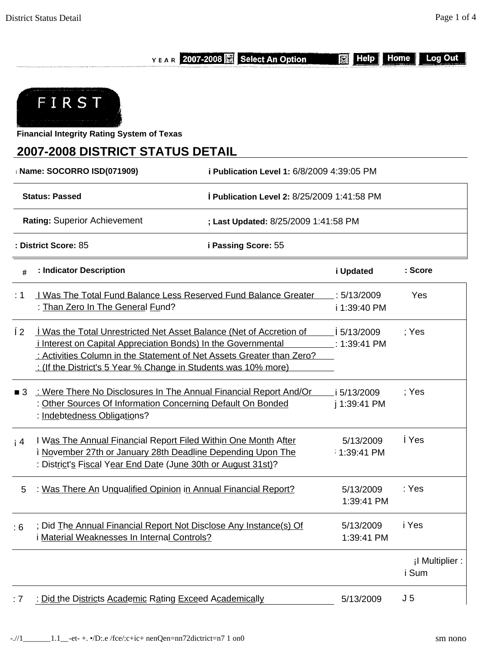YEAR 2007-2008 Select An Option

**N** Help Home

Log Out



**Financial Integrity Rating System of Texas**

## **2007-2008 DISTRICT STATUS DETAIL**

| <b>Name: SOCORRO ISD(071909)</b> |                                                                                                                                                                                                                                                                                      | i Publication Level 1: 6/8/2009 4:39:05 PM |                               |                          |  |  |  |
|----------------------------------|--------------------------------------------------------------------------------------------------------------------------------------------------------------------------------------------------------------------------------------------------------------------------------------|--------------------------------------------|-------------------------------|--------------------------|--|--|--|
|                                  | <b>Status: Passed</b>                                                                                                                                                                                                                                                                | Publication Level 2: 8/25/2009 1:41:58 PM  |                               |                          |  |  |  |
|                                  | Rating: Superior Achievement                                                                                                                                                                                                                                                         | ; Last Updated: 8/25/2009 1:41:58 PM       |                               |                          |  |  |  |
|                                  | : District Score: 85                                                                                                                                                                                                                                                                 | i Passing Score: 55                        |                               |                          |  |  |  |
| #                                | : Indicator Description                                                                                                                                                                                                                                                              |                                            | i Updated                     | : Score                  |  |  |  |
| : 1                              | <u>I Was The Total Fund Balance Less Reserved Fund Balance Greater</u><br>: Than Zero In The General Fund?                                                                                                                                                                           |                                            | : 5/13/2009<br>i 1:39:40 PM   | Yes                      |  |  |  |
| Í2                               | Was the Total Unrestricted Net Asset Balance (Net of Accretion of<br><i>i</i> Interest on Capital Appreciation Bonds) In the Governmental<br>: Activities Column in the Statement of Net Assets Greater than Zero?<br>: (If the District's 5 Year % Change in Students was 10% more) |                                            | 5/13/2009<br>$\_: 1:39:41$ PM | ; Yes                    |  |  |  |
| 3                                | : Were There No Disclosures In The Annual Financial Report And/Or<br>: Other Sources Of Information Concerning Default On Bonded<br>: Indebtedness Obligations?                                                                                                                      |                                            | 5/13/2009<br>j 1:39:41 PM     | ; Yes                    |  |  |  |
| i 4                              | I Was The Annual Financial Report Filed Within One Month After<br>i November 27th or January 28th Deadline Depending Upon The<br>: District's Fiscal Year End Date (June 30th or August 31st)?                                                                                       |                                            | 5/13/2009<br>1:39:41 PM       | Yes                      |  |  |  |
| 5                                | : Was There An Unqualified Opinion in Annual Financial Report?                                                                                                                                                                                                                       |                                            | 5/13/2009<br>1:39:41 PM       | : Yes                    |  |  |  |
| :6                               | ; Did The Annual Financial Report Not Disclose Any Instance(s) Of<br>Material Weaknesses In Internal Controls?                                                                                                                                                                       |                                            | 5/13/2009<br>1:39:41 PM       | i Yes                    |  |  |  |
|                                  |                                                                                                                                                                                                                                                                                      |                                            |                               | ¡I Multiplier :<br>i Sum |  |  |  |
| : 7                              | : Did the Districts Academic Rating Exceed Academically                                                                                                                                                                                                                              |                                            | 5/13/2009                     | J <sub>5</sub>           |  |  |  |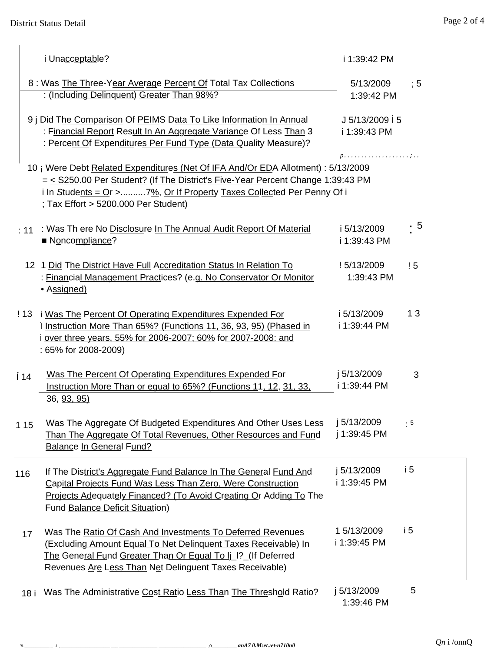|      | i Unacceptable?                                                                                                                                                                                                                                                                         | i 1:39:42 PM                    |           |
|------|-----------------------------------------------------------------------------------------------------------------------------------------------------------------------------------------------------------------------------------------------------------------------------------------|---------------------------------|-----------|
|      | 8 : Was The Three-Year Average Percent Of Total Tax Collections<br>: (Including Delinquent) Greater Than 98%?                                                                                                                                                                           | 5/13/2009<br>1:39:42 PM         | :5        |
|      | 9 j Did The Comparison Of PEIMS Data To Like Information In Annual<br>: Financial Report Result In An Aggregate Variance Of Less Than 3<br>: Percent Of Expenditures Per Fund Type (Data Quality Measure)?                                                                              | $J 5/13/2009$ 5<br>i 1:39:43 PM |           |
|      | 10 ¡ Were Debt Related Expenditures (Net Of IFA And/Or EDA Allotment) : 5/13/2009<br>= < S250.00 Per Student? (If The District's Five-Year Percent Change 1:39:43 PM<br>i In Students = $Qr$ >7%, Or If Property Taxes Collected Per Penny Of i<br>; Tax Effort > 5200,000 Per Student) | $p.$                            |           |
|      | : 11 : Was Th ere No Disclosure In The Annual Audit Report Of Material<br>Noncompliance?                                                                                                                                                                                                | i 5/13/2009<br>i 1:39:43 PM     | - 5       |
|      | 12 1 Did The District Have Full Accreditation Status In Relation To<br>: Financial Management Practices? (e.g. No Conservator Or Monitor<br>• Assigned)                                                                                                                                 | ! 5/13/2009<br>1:39:43 PM       | ! 5       |
|      | ! 13 i Was The Percent Of Operating Expenditures Expended For<br>i Instruction More Than 65%? (Functions 11, 36, 93, 95) (Phased in<br>i over three years, 55% for 2006-2007; 60% for 2007-2008: and<br>: 65% for 2008-2009)                                                            | i 5/13/2009<br>i 1:39:44 PM     | 13        |
| Í 14 | Was The Percent Of Operating Expenditures Expended For<br>Instruction More Than or equal to 65%? (Functions 11, 12, 31, 33,<br>36, 93, 95)                                                                                                                                              | j 5/13/2009<br>i 1:39:44 PM     | 3         |
| 1 15 | Was The Aggregate Of Budgeted Expenditures And Other Uses Less<br>Than The Aggregate Of Total Revenues, Other Resources and Fund<br><b>Balance In General Fund?</b>                                                                                                                     | j 5/13/2009<br>j 1:39:45 PM     | $\cdot$ 5 |
| 116  | If The District's Aggregate Fund Balance In The General Fund And<br>Capital Projects Fund Was Less Than Zero, Were Construction<br>Projects Adequately Financed? (To Avoid Creating Or Adding To The<br><b>Fund Balance Deficit Situation)</b>                                          | j 5/13/2009<br>i 1:39:45 PM     | i 5       |
| 17   | Was The Ratio Of Cash And Investments To Deferred Revenues<br>(Excluding Amount Equal To Net Delinquent Taxes Receivable) In<br>The General Fund Greater Than Or Equal To Ij  ? (If Deferred<br>Revenues Are Less Than Net Delinguent Taxes Receivable)                                 | 1 5/13/2009<br>i 1:39:45 PM     | i5        |
| 18 i | Was The Administrative Cost Ratio Less Than The Threshold Ratio?                                                                                                                                                                                                                        | j 5/13/2009<br>1:39:46 PM       | 5         |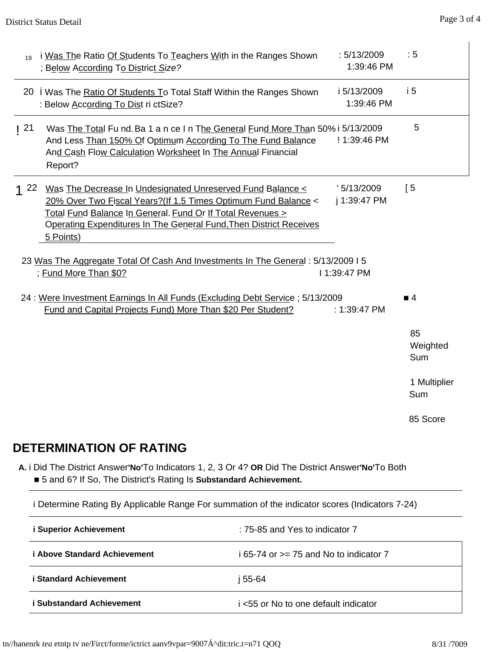| 19       | i Was The Ratio Of Students To Teachers With in the Ranges Shown<br>; Below According To District Size?                                                                                                                                                                       | : 5/13/2009<br>1:39:46 PM   | : 5                   |
|----------|-------------------------------------------------------------------------------------------------------------------------------------------------------------------------------------------------------------------------------------------------------------------------------|-----------------------------|-----------------------|
| 20       | Was The Ratio Of Students To Total Staff Within the Ranges Shown<br>: Below According To Dist ri ctSize?                                                                                                                                                                      | i 5/13/2009<br>1:39:46 PM   | i <sub>5</sub>        |
| 121      | Was The Total Fu nd. Ba 1 a n ce I n The General Fund More Than 50% i 5/13/2009<br>And Less Than 150% Of Optimum According To The Fund Balance<br>And Cash Flow Calculation Worksheet In The Annual Financial<br>Report?                                                      | ! 1:39:46 PM                | 5                     |
| $1^{22}$ | Was The Decrease In Undesignated Unreserved Fund Balance <<br>20% Over Two Fiscal Years?(If 1.5 Times Optimum Fund Balance <<br>Total Fund Balance In General. Fund Or If Total Revenues ><br>Operating Expenditures In The General Fund, Then District Receives<br>5 Points) | ' 5/13/2009<br>j 1:39:47 PM | $\sqrt{5}$            |
|          | 23 Was The Aggregate Total Of Cash And Investments In The General : 5/13/2009 I 5<br>; Fund More Than \$0?                                                                                                                                                                    | I 1:39:47 PM                |                       |
|          | 24 : Were Investment Earnings In All Funds (Excluding Debt Service ; 5/13/2009<br>Fund and Capital Projects Fund) More Than \$20 Per Student?                                                                                                                                 | : $1:39:47$ PM              | $\overline{4}$        |
|          |                                                                                                                                                                                                                                                                               |                             | 85<br>Weighted<br>Sum |
|          |                                                                                                                                                                                                                                                                               |                             | 1 Multiplier<br>Sum   |
|          |                                                                                                                                                                                                                                                                               |                             | 85 Score              |
|          | <b>DETERMINATION OF RATING</b>                                                                                                                                                                                                                                                |                             |                       |

**A.** i Did The District Answer**'No'**To Indicators 1, 2, 3 Or 4? **OR** Did The District Answer**'No'**To Both ■ 5 and 6? If So, The District's Rating Is **Substandard Achievement.**

i Determine Rating By Applicable Range For summation of the indicator scores (Indicators 7-24)

| i Superior Achievement              | : 75-85 and Yes to indicator 7           |
|-------------------------------------|------------------------------------------|
| <i>i</i> Above Standard Achievement | i 65-74 or $>=$ 75 and No to indicator 7 |
| <b>i Standard Achievement</b>       | i 55-64                                  |
| i Substandard Achievement           | i <55 or No to one default indicator     |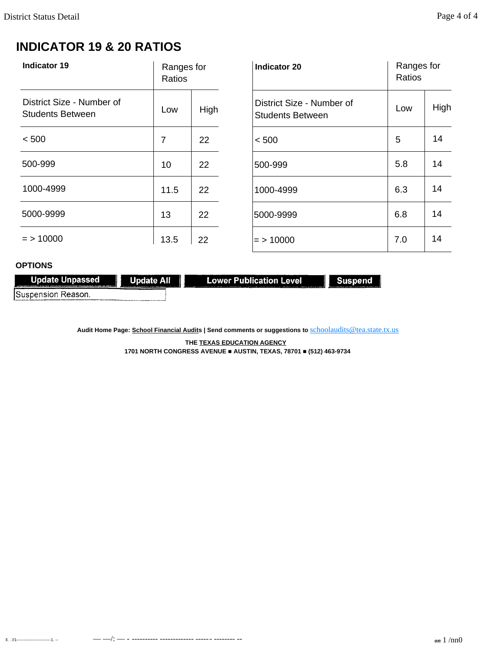# **INDICATOR 19 & 20 RATIOS**

| <b>Indicator 19</b>                                  | Ranges for<br>Ratios |      | <b>Indicator 20</b>                                  | Ranges for<br>Ratios |      |
|------------------------------------------------------|----------------------|------|------------------------------------------------------|----------------------|------|
| District Size - Number of<br><b>Students Between</b> | Low                  | High | District Size - Number of<br><b>Students Between</b> | Low                  | High |
| < 500                                                | 7                    | 22   | < 500                                                | 5                    | 14   |
| 500-999                                              | 10                   | 22   | 500-999                                              | 5.8                  | 14   |
| 1000-4999                                            | 11.5                 | 22   | 1000-4999                                            | 6.3                  | 14   |
| 5000-9999                                            | 13                   | 22   | 5000-9999                                            | 6.8                  | 14   |
| $=$ > 10000                                          | 13.5                 | 22   | $=$ > 10000                                          | 7.0                  | 14   |

### **OPTIONS**

| Update Unpassed                                                                                          | <b>Update All</b>                                                                                                                                                                                                              | Lower Publication Level                                                                                                                                                                                                        | Suspend                                                                                                     |
|----------------------------------------------------------------------------------------------------------|--------------------------------------------------------------------------------------------------------------------------------------------------------------------------------------------------------------------------------|--------------------------------------------------------------------------------------------------------------------------------------------------------------------------------------------------------------------------------|-------------------------------------------------------------------------------------------------------------|
| The most infalls and his country accounts to the control of the country of the state. The statement of a | A PERSONAL PROPERTY AND RESIDENCE OF A RESIDENCE OF A REPORT OF A RESIDENCE OF A RESIDENCE OF A RESIDENCE OF A RESIDENCE OF A RESIDENCE OF A RESIDENCE OF A RESIDENCE OF A RESIDENCE OF A RESIDENCE OF A RESIDENCE OF A RESIDE | A REPORT OF A CONSIDERATION OF A REPORT OF A CONSUMING A REPORT OF A CONSUMING OF A REPORT OF A CONSUMING OF A REPORT OF A REPORT OF A REPORT OF A REPORT OF A REPORT OF A REPORT OF A REPORT OF A REPORT OF A REPORT OF A REP | Comprished to the property states of the company will be a series of the contract. A series of the contract |
| ISuspension Reason.                                                                                      | .<br>1980au - Angelor von Japon, englang englang en der Angelor von der Angelor von Berling und der Angelor von Berling                                                                                                        |                                                                                                                                                                                                                                |                                                                                                             |

Audit Home Page: School Financial Audits | Send comments or suggestions to **[schoolaudits@tea.state.tx.us](mailto:schoolaudits@tea.state.tx.us)** 

**THE TEXAS EDUCATION AGENCY 1701 NORTH CONGRESS AVENUE ■ AUSTIN, TEXAS, 78701 ■ (512) 463-9734**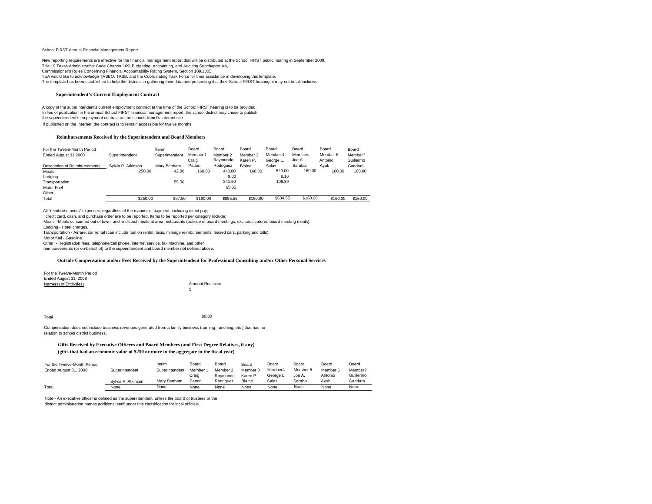#### Schooi FIRST Annual Financial Management Report

New reporting requirements are effective for the financial management report that will be distributed at the School FIRST public hearing in September 2009. Title 19 Texas Administrative Code Chapter 109, Budgeting, Accounting, and Auditing Subchapter AA, Commissioner's Rules Concerning Financial Accountability Rating System, Section 109.1005 TEA would like to acknowledge TASBO, TASB, and the Coordinating Task Force for their assistance in developing this template. The template has been established to help the districts in gathering their data and presenting it at their School FIRST hearing, it may not be all inclusive.

#### **Superintendent's Current Employment Contract**

A copy of the superintendent's current employment contract at the time of the School FIRST hearing is to be provided. In lieu of publication in the annual School FIRST financial management report, the school district may chose to publish the superintendent's employment contract on the school district's Internet site If published on the Internet, the contract is to remain accessible for twelve months.

#### **Reimbursements Received by the Superintendent and Board Members**

| For the Twelve-Month Period<br>Ended August 31,2008 | Superintendent     | terim<br>Superintendent | Board<br>Member 1 | Board<br>Member 2 | Board<br>Member 3 | Board<br>Member 4 | Board<br>Members | Board<br>Member 6 | Board<br>Member? |
|-----------------------------------------------------|--------------------|-------------------------|-------------------|-------------------|-------------------|-------------------|------------------|-------------------|------------------|
|                                                     |                    |                         | Craig             | Ravmundo          | Karen P.          | George L.         | Joe A.           | Antonio           | Guillermo        |
| Description of Reimbursements                       | Svivia P. Atkinson | Mary Benham             | Patton            | Rodriguez         | Blaine            | Salas             | Sarabia          | Avub              | Gandara          |
| Meals                                               | 250.00             | 42.00                   | 160.00            | 440.00            | 160.00            | 520.00            | 160.00           | 160.00            | 160.00           |
| Lodging                                             |                    |                         |                   | 9.00              |                   | 8.16              |                  |                   |                  |
| Transportation                                      |                    | 55.50                   |                   | 341.50            |                   | 106.39            |                  |                   |                  |
| Motor Fuel                                          |                    |                         |                   | 65.05             |                   |                   |                  |                   |                  |
| Other                                               |                    |                         |                   |                   |                   |                   |                  |                   |                  |
| Total                                               | \$250.00           | \$97.50                 | \$160.00          | \$855.55          | \$160.00          | \$634.55          | \$160.00         | \$160.00          | \$160.00         |

All "reimbursements" expenses, regardless of the manner of payment, including direct pay,

credit card, cash, and purchase order are to be reported. Items to be reported per category include:

Meals - Meals consumed out of town, and in-district meals at area restaurants (outside of board meetings, excludes catered board meeting meals). Lodging - Hotel charges. Transportation - Airfare, car rental (can include fuel on rental, taxis, mileage reimbursements, leased cars, parking and tolls). Motor fuel - Gasoline. Other: - Registration fees, telephone/cell phone, internet service, fax machine, and other reimbursements (or on-behalf of) to the superintendent and board member not defined above.

#### **Outside Compensation and/or Fees Received by the Superintendent for Professional Consulting and/or Other Personal Services**

| For the Twelve-Month Period |                        |
|-----------------------------|------------------------|
| Ended August 31, 2008       |                        |
| Name(s) of Entity(ies)      | <b>Amount Received</b> |
|                             | £.                     |
|                             |                        |

 $\rm Total$ 

Compensation does not include business revenues generated from a family business (farming, ranching, etc ) that has no relation to school district business.

#### **Gifts Received by Executive Officers and Board Members (and First Degree Relatives, if any) (gifts that had an economic value of \$250 or more in the aggregate in the fiscal year)**

| For the Twelve-Month Period |                    | terim          | Board  | Board     | Board    | Board     | Board    | Board    | Board     |
|-----------------------------|--------------------|----------------|--------|-----------|----------|-----------|----------|----------|-----------|
| Ended August 31, 2008       | Superintendent     | Superintendent | Member | Member 2  | Member 3 | Member4   | Member 5 | Member 6 | Member?   |
|                             |                    |                | Craio  | Ravmundo  | Karen P. | Georae L. | Joe A.   | Antonio  | Guillermo |
|                             | Sylvia P. Atkinson | Mary Benham    | Patton | Rodriguez | Blaine   | Salas     | Sarabia  | Avub     | Gandara   |
| Total                       | None               | None           | None   | None      | None     | None      | None     | None     | None      |

Note - An executive officer is defined as the superintendent, unless the board of trustees or the district administration names additional staff under this classification for local officials.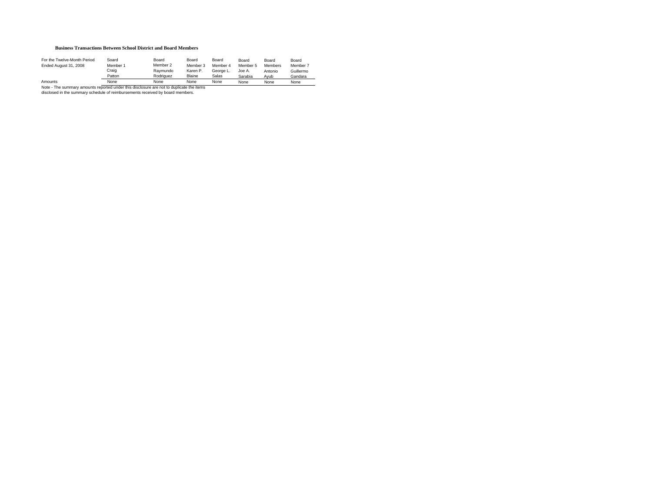#### **Business Transactions Between School District and Board Members**

| For the Twelve-Month Period                                                              | Soard    | Board     | Board    | Board     | Board    | Board          | Board     |  |  |
|------------------------------------------------------------------------------------------|----------|-----------|----------|-----------|----------|----------------|-----------|--|--|
| Ended August 31, 2008                                                                    | Member 1 | Member 2  | Member 3 | Member 4  | Member 5 | <b>Members</b> | Member 7  |  |  |
|                                                                                          | Craig    | Raymundo  | Karen P. | George L. | Joe A.   | Antonio        | Guillermo |  |  |
|                                                                                          | Patton   | Rodriguez | Blaine   | Salas     | Sarabia  | Avub           | Gandara   |  |  |
| None<br>Amounts<br>None<br>None<br>None<br>None<br>None<br>None                          |          |           |          |           |          |                |           |  |  |
| Note - The summary amounts reported under this disclosure are not to duplicate the items |          |           |          |           |          |                |           |  |  |

disclosed in the summary schedule of reimbursements received by board members.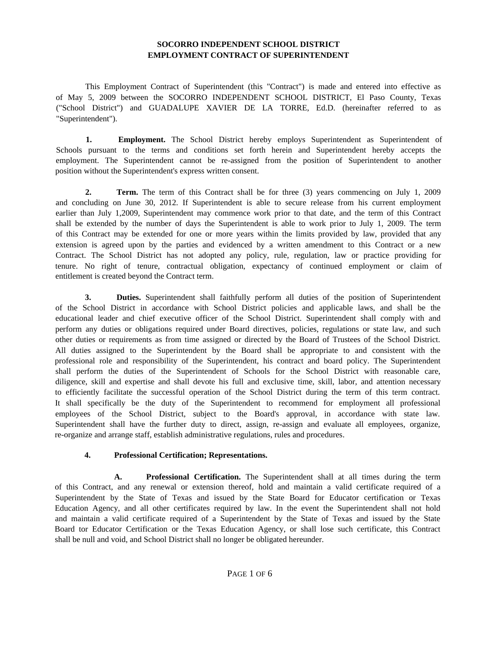### **SOCORRO INDEPENDENT SCHOOL DISTRICT EMPLOYMENT CONTRACT OF SUPERINTENDENT**

This Employment Contract of Superintendent (this "Contract") is made and entered into effective as of May 5, 2009 between the SOCORRO INDEPENDENT SCHOOL DISTRICT, El Paso County, Texas ("School District") and GUADALUPE XAVIER DE LA TORRE, Ed.D. (hereinafter referred to as "Superintendent").

**1. Employment.** The School District hereby employs Superintendent as Superintendent of Schools pursuant to the terms and conditions set forth herein and Superintendent hereby accepts the employment. The Superintendent cannot be re-assigned from the position of Superintendent to another position without the Superintendent's express written consent.

**2. Term.** The term of this Contract shall be for three (3) years commencing on July 1, 2009 and concluding on June 30, 2012. If Superintendent is able to secure release from his current employment earlier than July 1,2009, Superintendent may commence work prior to that date, and the term of this Contract shall be extended by the number of days the Superintendent is able to work prior to July 1, 2009. The term of this Contract may be extended for one or more years within the limits provided by law, provided that any extension is agreed upon by the parties and evidenced by a written amendment to this Contract or a new Contract. The School District has not adopted any policy, rule, regulation, law or practice providing for tenure. No right of tenure, contractual obligation, expectancy of continued employment or claim of entitlement is created beyond the Contract term.

**3. Duties.** Superintendent shall faithfully perform all duties of the position of Superintendent of the School District in accordance with School District policies and applicable laws, and shall be the educational leader and chief executive officer of the School District. Superintendent shall comply with and perform any duties or obligations required under Board directives, policies, regulations or state law, and such other duties or requirements as from time assigned or directed by the Board of Trustees of the School District. All duties assigned to the Superintendent by the Board shall be appropriate to and consistent with the professional role and responsibility of the Superintendent, his contract and board policy. The Superintendent shall perform the duties of the Superintendent of Schools for the School District with reasonable care, diligence, skill and expertise and shall devote his full and exclusive time, skill, labor, and attention necessary to efficiently facilitate the successful operation of the School District during the term of this term contract. It shall specifically be the duty of the Superintendent to recommend for employment all professional employees of the School District, subject to the Board's approval, in accordance with state law. Superintendent shall have the further duty to direct, assign, re-assign and evaluate all employees, organize, re-organize and arrange staff, establish administrative regulations, rules and procedures.

### **4. Professional Certification; Representations.**

**A. Professional Certification.** The Superintendent shall at all times during the term of this Contract, and any renewal or extension thereof, hold and maintain a valid certificate required of a Superintendent by the State of Texas and issued by the State Board for Educator certification or Texas Education Agency, and all other certificates required by law. In the event the Superintendent shall not hold and maintain a valid certificate required of a Superintendent by the State of Texas and issued by the State Board tor Educator Certification or the Texas Education Agency, or shall lose such certificate, this Contract shall be null and void, and School District shall no longer be obligated hereunder.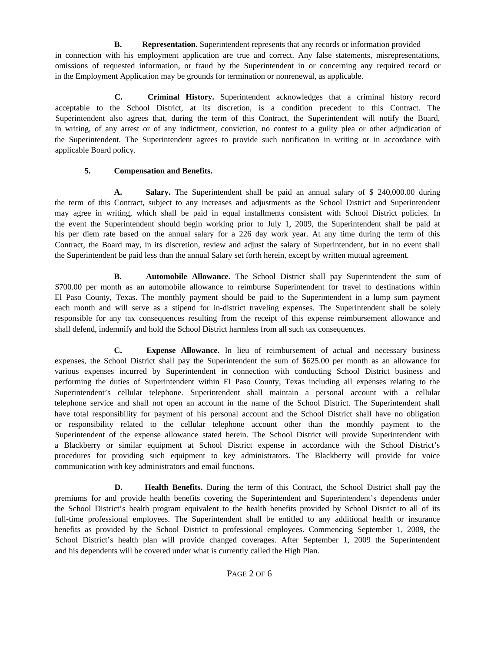**B.** Representation. Superintendent represents that any records or information provided in connection with his employment application are true and correct. Any false statements, misrepresentations, omissions of requested information, or fraud by the Superintendent in or concerning any required record or in the Employment Application may be grounds for termination or nonrenewal, as applicable.

**C. Criminal History.** Superintendent acknowledges that a criminal history record acceptable to the School District, at its discretion, is a condition precedent to this Contract. The Superintendent also agrees that, during the term of this Contract, the Superintendent will notify the Board, in writing, of any arrest or of any indictment, conviction, no contest to a guilty plea or other adjudication of the Superintendent. The Superintendent agrees to provide such notification in writing or in accordance with applicable Board policy.

### **5. Compensation and Benefits.**

**A.** Salary. The Superintendent shall be paid an annual salary of \$ 240,000.00 during the term of this Contract, subject to any increases and adjustments as the School District and Superintendent may agree in writing, which shall be paid in equal installments consistent with School District policies. In the event the Superintendent should begin working prior to July 1, 2009, the Superintendent shall be paid at his per diem rate based on the annual salary for a 226 day work year. At any time during the term of this Contract, the Board may, in its discretion, review and adjust the salary of Superintendent, but in no event shall the Superintendent be paid less than the annual Salary set forth herein, except by written mutual agreement.

**B. Automobile Allowance.** The School District shall pay Superintendent the sum of \$700.00 per month as an automobile allowance to reimburse Superintendent for travel to destinations within El Paso County, Texas. The monthly payment should be paid to the Superintendent in a lump sum payment each month and will serve as a stipend for in-district traveling expenses. The Superintendent shall be solely responsible for any tax consequences resulting from the receipt of this expense reimbursement allowance and shall defend, indemnify and hold the School District harmless from all such tax consequences.

**C. Expense Allowance.** In lieu of reimbursement of actual and necessary business expenses, the School District shall pay the Superintendent the sum of \$625.00 per month as an allowance for various expenses incurred by Superintendent in connection with conducting School District business and performing the duties of Superintendent within El Paso County, Texas including all expenses relating to the Superintendent's cellular telephone. Superintendent shall maintain a personal account with a cellular telephone service and shall not open an account in the name of the School District. The Superintendent shall have total responsibility for payment of his personal account and the School District shall have no obligation or responsibility related to the cellular telephone account other than the monthly payment to the Superintendent of the expense allowance stated herein. The School District will provide Superintendent with a Blackberry or similar equipment at School District expense in accordance with the School District's procedures for providing such equipment to key administrators. The Blackberry will provide for voice communication with key administrators and email functions.

**D. Health Benefits.** During the term of this Contract, the School District shall pay the premiums for and provide health benefits covering the Superintendent and Superintendent's dependents under the School District's health program equivalent to the health benefits provided by School District to all of its full-time professional employees. The Superintendent shall be entitled to any additional health or insurance benefits as provided by the School District to professional employees. Commencing September 1, 2009, the School District's health plan will provide changed coverages. After September 1, 2009 the Superintendent and his dependents will be covered under what is currently called the High Plan.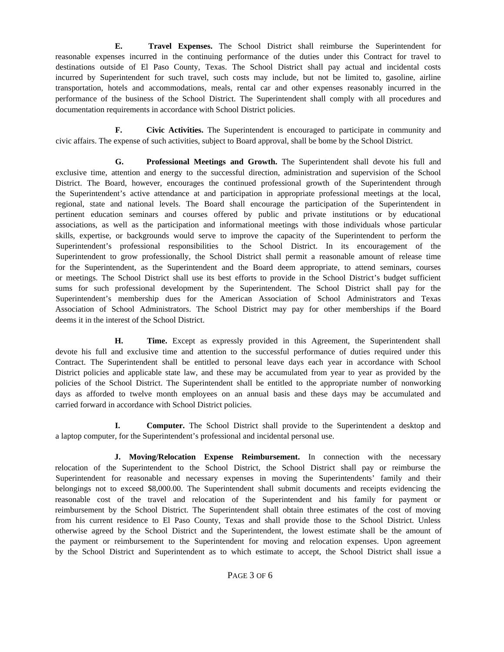**E. Travel Expenses.** The School District shall reimburse the Superintendent for reasonable expenses incurred in the continuing performance of the duties under this Contract for travel to destinations outside of El Paso County, Texas. The School District shall pay actual and incidental costs incurred by Superintendent for such travel, such costs may include, but not be limited to, gasoline, airline transportation, hotels and accommodations, meals, rental car and other expenses reasonably incurred in the performance of the business of the School District. The Superintendent shall comply with all procedures and documentation requirements in accordance with School District policies.

**F. Civic Activities.** The Superintendent is encouraged to participate in community and civic affairs. The expense of such activities, subject to Board approval, shall be bome by the School District.

**G. Professional Meetings and Growth.** The Superintendent shall devote his full and exclusive time, attention and energy to the successful direction, administration and supervision of the School District. The Board, however, encourages the continued professional growth of the Superintendent through the Superintendent's active attendance at and participation in appropriate professional meetings at the local, regional, state and national levels. The Board shall encourage the participation of the Superintendent in pertinent education seminars and courses offered by public and private institutions or by educational associations, as well as the participation and informational meetings with those individuals whose particular skills, expertise, or backgrounds would serve to improve the capacity of the Superintendent to perform the Superintendent's professional responsibilities to the School District. In its encouragement of the Superintendent to grow professionally, the School District shall permit a reasonable amount of release time for the Superintendent, as the Superintendent and the Board deem appropriate, to attend seminars, courses or meetings. The School District shall use its best efforts to provide in the School District's budget sufficient sums for such professional development by the Superintendent. The School District shall pay for the Superintendent's membership dues for the American Association of School Administrators and Texas Association of School Administrators. The School District may pay for other memberships if the Board deems it in the interest of the School District.

**H. Time.** Except as expressly provided in this Agreement, the Superintendent shall devote his full and exclusive time and attention to the successful performance of duties required under this Contract. The Superintendent shall be entitled to personal leave days each year in accordance with School District policies and applicable state law, and these may be accumulated from year to year as provided by the policies of the School District. The Superintendent shall be entitled to the appropriate number of nonworking days as afforded to twelve month employees on an annual basis and these days may be accumulated and carried forward in accordance with School District policies.

**I. Computer.** The School District shall provide to the Superintendent a desktop and a laptop computer, for the Superintendent's professional and incidental personal use.

**J. Moving/Relocation Expense Reimbursement.** In connection with the necessary relocation of the Superintendent to the School District, the School District shall pay or reimburse the Superintendent for reasonable and necessary expenses in moving the Superintendents' family and their belongings not to exceed \$8,000.00. The Superintendent shall submit documents and receipts evidencing the reasonable cost of the travel and relocation of the Superintendent and his family for payment or reimbursement by the School District. The Superintendent shall obtain three estimates of the cost of moving from his current residence to El Paso County, Texas and shall provide those to the School District. Unless otherwise agreed by the School District and the Superintendent, the lowest estimate shall be the amount of the payment or reimbursement to the Superintendent for moving and relocation expenses. Upon agreement by the School District and Superintendent as to which estimate to accept, the School District shall issue a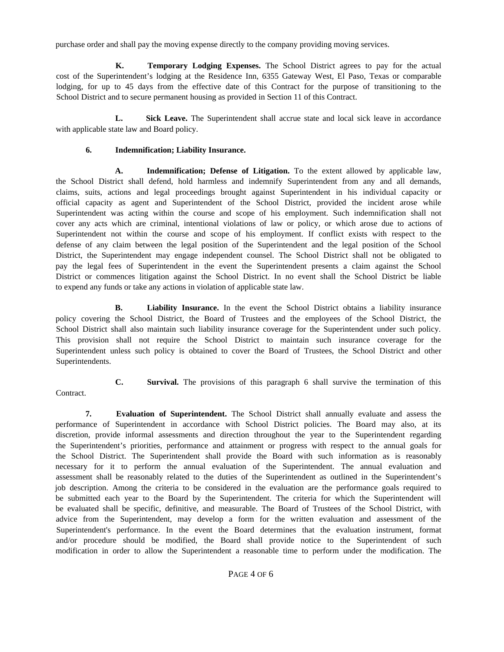purchase order and shall pay the moving expense directly to the company providing moving services.

**K. Temporary Lodging Expenses.** The School District agrees to pay for the actual cost of the Superintendent's lodging at the Residence Inn, 6355 Gateway West, El Paso, Texas or comparable lodging, for up to 45 days from the effective date of this Contract for the purpose of transitioning to the School District and to secure permanent housing as provided in Section 11 of this Contract.

L. Sick Leave. The Superintendent shall accrue state and local sick leave in accordance with applicable state law and Board policy.

### **6. Indemnification; Liability Insurance.**

**A. Indemnification; Defense of Litigation.** To the extent allowed by applicable law, the School District shall defend, hold harmless and indemnify Superintendent from any and all demands, claims, suits, actions and legal proceedings brought against Superintendent in his individual capacity or official capacity as agent and Superintendent of the School District, provided the incident arose while Superintendent was acting within the course and scope of his employment. Such indemnification shall not cover any acts which are criminal, intentional violations of law or policy, or which arose due to actions of Superintendent not within the course and scope of his employment. If conflict exists with respect to the defense of any claim between the legal position of the Superintendent and the legal position of the School District, the Superintendent may engage independent counsel. The School District shall not be obligated to pay the legal fees of Superintendent in the event the Superintendent presents a claim against the School District or commences litigation against the School District. In no event shall the School District be liable to expend any funds or take any actions in violation of applicable state law.

**B.** Liability Insurance. In the event the School District obtains a liability insurance policy covering the School District, the Board of Trustees and the employees of the School District, the School District shall also maintain such liability insurance coverage for the Superintendent under such policy. This provision shall not require the School District to maintain such insurance coverage for the Superintendent unless such policy is obtained to cover the Board of Trustees, the School District and other Superintendents.

- Contract.
- **C. Survival.** The provisions of this paragraph 6 shall survive the termination of this

**7. Evaluation of Superintendent.** The School District shall annually evaluate and assess the performance of Superintendent in accordance with School District policies. The Board may also, at its discretion, provide informal assessments and direction throughout the year to the Superintendent regarding the Superintendent's priorities, performance and attainment or progress with respect to the annual goals for the School District. The Superintendent shall provide the Board with such information as is reasonably necessary for it to perform the annual evaluation of the Superintendent. The annual evaluation and assessment shall be reasonably related to the duties of the Superintendent as outlined in the Superintendent's job description. Among the criteria to be considered in the evaluation are the performance goals required to be submitted each year to the Board by the Superintendent. The criteria for which the Superintendent will be evaluated shall be specific, definitive, and measurable. The Board of Trustees of the School District, with advice from the Superintendent, may develop a form for the written evaluation and assessment of the Superintendent's performance. In the event the Board determines that the evaluation instrument, format and/or procedure should be modified, the Board shall provide notice to the Superintendent of such modification in order to allow the Superintendent a reasonable time to perform under the modification. The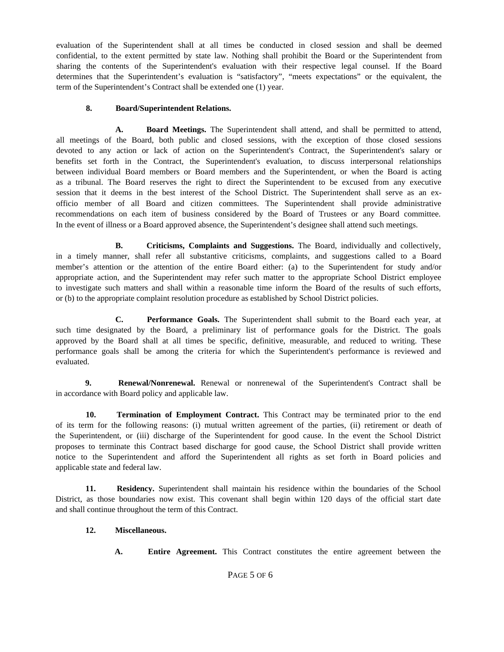evaluation of the Superintendent shall at all times be conducted in closed session and shall be deemed confidential, to the extent permitted by state law. Nothing shall prohibit the Board or the Superintendent from sharing the contents of the Superintendent's evaluation with their respective legal counsel. If the Board determines that the Superintendent's evaluation is "satisfactory", "meets expectations" or the equivalent, the term of the Superintendent's Contract shall be extended one (1) year.

### **8. Board/Superintendent Relations.**

**A. Board Meetings.** The Superintendent shall attend, and shall be permitted to attend, all meetings of the Board, both public and closed sessions, with the exception of those closed sessions devoted to any action or lack of action on the Superintendent's Contract, the Superintendent's salary or benefits set forth in the Contract, the Superintendent's evaluation, to discuss interpersonal relationships between individual Board members or Board members and the Superintendent, or when the Board is acting as a tribunal. The Board reserves the right to direct the Superintendent to be excused from any executive session that it deems in the best interest of the School District. The Superintendent shall serve as an exofficio member of all Board and citizen committees. The Superintendent shall provide administrative recommendations on each item of business considered by the Board of Trustees or any Board committee. In the event of illness or a Board approved absence, the Superintendent's designee shall attend such meetings.

**B.** Criticisms, Complaints and Suggestions. The Board, individually and collectively, in a timely manner, shall refer all substantive criticisms, complaints, and suggestions called to a Board member's attention or the attention of the entire Board either: (a) to the Superintendent for study and/or appropriate action, and the Superintendent may refer such matter to the appropriate School District employee to investigate such matters and shall within a reasonable time inform the Board of the results of such efforts, or (b) to the appropriate complaint resolution procedure as established by School District policies.

**C. Performance Goals.** The Superintendent shall submit to the Board each year, at such time designated by the Board, a preliminary list of performance goals for the District. The goals approved by the Board shall at all times be specific, definitive, measurable, and reduced to writing. These performance goals shall be among the criteria for which the Superintendent's performance is reviewed and evaluated.

**9. Renewal/Nonrenewal.** Renewal or nonrenewal of the Superintendent's Contract shall be in accordance with Board policy and applicable law.

**10. Termination of Employment Contract.** This Contract may be terminated prior to the end of its term for the following reasons: (i) mutual written agreement of the parties, (ii) retirement or death of the Superintendent, or (iii) discharge of the Superintendent for good cause. In the event the School District proposes to terminate this Contract based discharge for good cause, the School District shall provide written notice to the Superintendent and afford the Superintendent all rights as set forth in Board policies and applicable state and federal law.

**11. Residency.** Superintendent shall maintain his residence within the boundaries of the School District, as those boundaries now exist. This covenant shall begin within 120 days of the official start date and shall continue throughout the term of this Contract.

### **12. Miscellaneous.**

**A. Entire Agreement.** This Contract constitutes the entire agreement between the